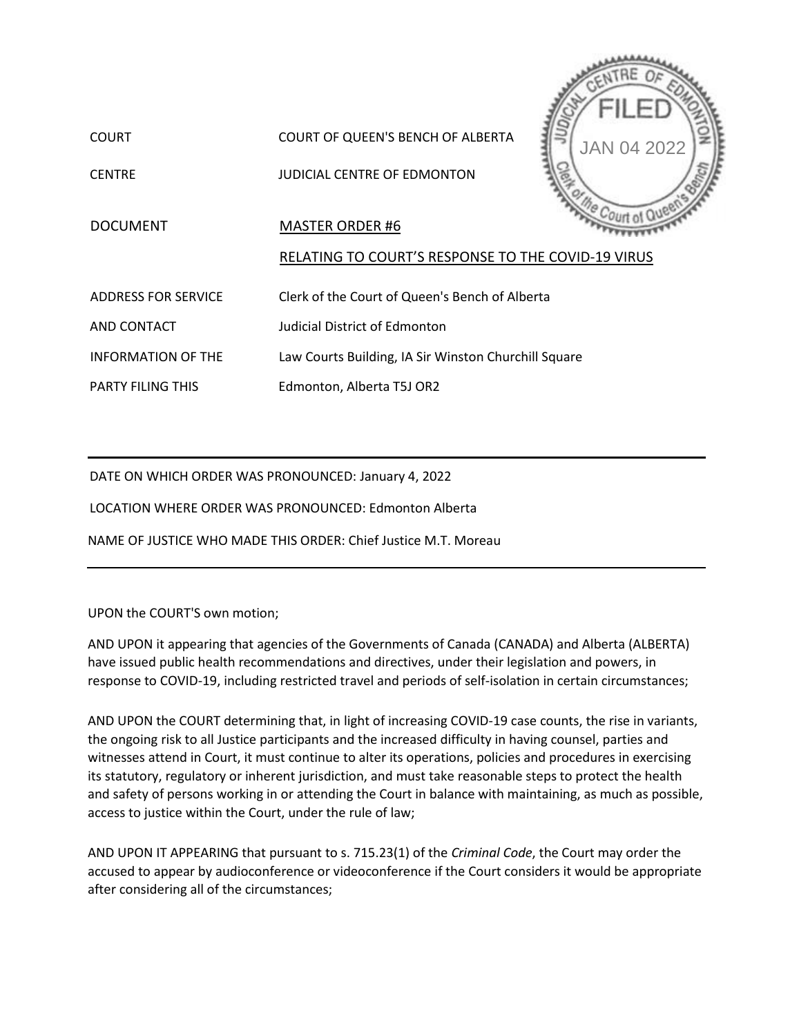

PARTY FILING THIS Edmonton, Alberta T5J OR2

DATE ON WHICH ORDER WAS PRONOUNCED: January 4, 2022

LOCATION WHERE ORDER WAS PRONOUNCED: Edmonton Alberta

NAME OF JUSTICE WHO MADE THIS ORDER: Chief Justice M.T. Moreau

## UPON the COURT'S own motion;

AND UPON it appearing that agencies of the Governments of Canada (CANADA) and Alberta (ALBERTA) have issued public health recommendations and directives, under their legislation and powers, in response to COVID-19, including restricted travel and periods of self-isolation in certain circumstances;

AND UPON the COURT determining that, in light of increasing COVID-19 case counts, the rise in variants, the ongoing risk to all Justice participants and the increased difficulty in having counsel, parties and witnesses attend in Court, it must continue to alter its operations, policies and procedures in exercising its statutory, regulatory or inherent jurisdiction, and must take reasonable steps to protect the health and safety of persons working in or attending the Court in balance with maintaining, as much as possible, access to justice within the Court, under the rule of law;

AND UPON IT APPEARING that pursuant to s. 715.23(1) of the *Criminal Code*, the Court may order the accused to appear by audioconference or videoconference if the Court considers it would be appropriate after considering all of the circumstances;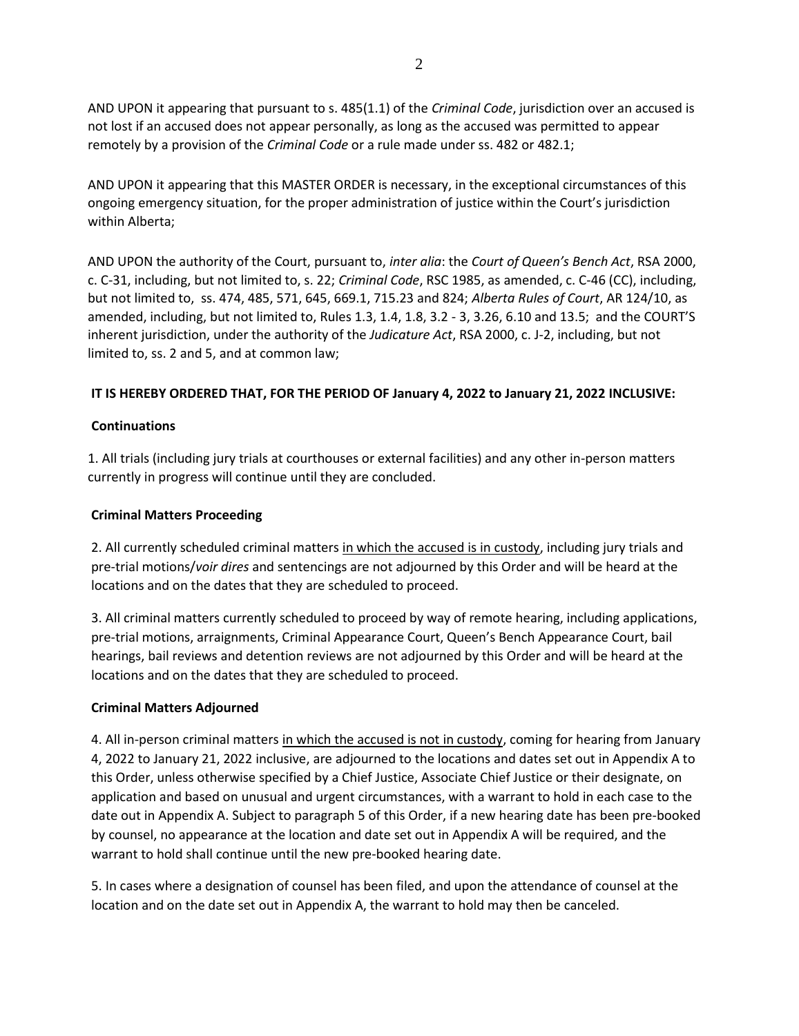AND UPON it appearing that pursuant to s. 485(1.1) of the *Criminal Code*, jurisdiction over an accused is not lost if an accused does not appear personally, as long as the accused was permitted to appear remotely by a provision of the *Criminal Code* or a rule made under ss. 482 or 482.1;

AND UPON it appearing that this MASTER ORDER is necessary, in the exceptional circumstances of this ongoing emergency situation, for the proper administration of justice within the Court's jurisdiction within Alberta;

AND UPON the authority of the Court, pursuant to, *inter alia*: the *Court of Queen's Bench Act*, RSA 2000, c. C-31, including, but not limited to, s. 22; *Criminal Code*, RSC 1985, as amended, c. C-46 (CC), including, but not limited to, ss. 474, 485, 571, 645, 669.1, 715.23 and 824; *Alberta Rules of Court*, AR 124/10, as amended, including, but not limited to, Rules 1.3, 1.4, 1.8, 3.2 - 3, 3.26, 6.10 and 13.5; and the COURT'S inherent jurisdiction, under the authority of the *Judicature Act*, RSA 2000, c. J-2, including, but not limited to, ss. 2 and 5, and at common law;

## **IT IS HEREBY ORDERED THAT, FOR THE PERIOD OF January 4, 2022 to January 21, 2022 INCLUSIVE:**

### **Continuations**

1. All trials (including jury trials at courthouses or external facilities) and any other in-person matters currently in progress will continue until they are concluded.

### **Criminal Matters Proceeding**

2. All currently scheduled criminal matters in which the accused is in custody, including jury trials and pre-trial motions/*voir dires* and sentencings are not adjourned by this Order and will be heard at the locations and on the dates that they are scheduled to proceed.

3. All criminal matters currently scheduled to proceed by way of remote hearing, including applications, pre-trial motions, arraignments, Criminal Appearance Court, Queen's Bench Appearance Court, bail hearings, bail reviews and detention reviews are not adjourned by this Order and will be heard at the locations and on the dates that they are scheduled to proceed.

### **Criminal Matters Adjourned**

4. All in-person criminal matters in which the accused is not in custody, coming for hearing from January 4, 2022 to January 21, 2022 inclusive, are adjourned to the locations and dates set out in Appendix A to this Order, unless otherwise specified by a Chief Justice, Associate Chief Justice or their designate, on application and based on unusual and urgent circumstances, with a warrant to hold in each case to the date out in Appendix A. Subject to paragraph 5 of this Order, if a new hearing date has been pre-booked by counsel, no appearance at the location and date set out in Appendix A will be required, and the warrant to hold shall continue until the new pre-booked hearing date.

5. In cases where a designation of counsel has been filed, and upon the attendance of counsel at the location and on the date set out in Appendix A, the warrant to hold may then be canceled.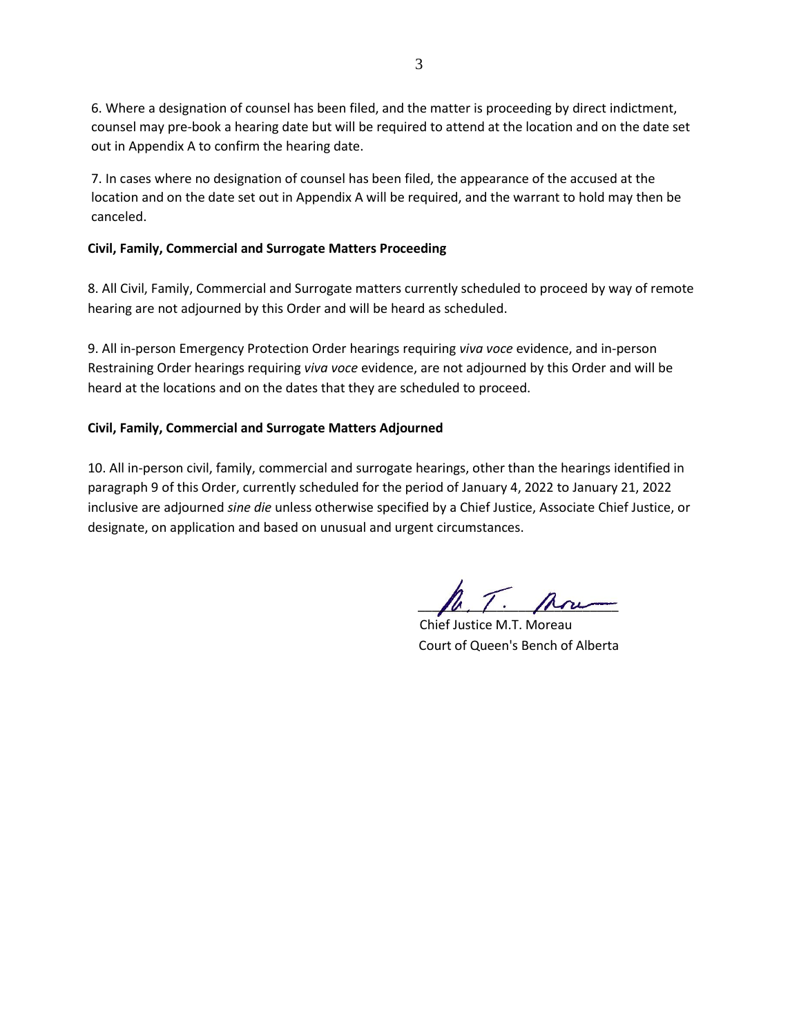6. Where a designation of counsel has been filed, and the matter is proceeding by direct indictment, counsel may pre-book a hearing date but will be required to attend at the location and on the date set out in Appendix A to confirm the hearing date.

7. In cases where no designation of counsel has been filed, the appearance of the accused at the location and on the date set out in Appendix A will be required, and the warrant to hold may then be canceled.

## **Civil, Family, Commercial and Surrogate Matters Proceeding**

8. All Civil, Family, Commercial and Surrogate matters currently scheduled to proceed by way of remote hearing are not adjourned by this Order and will be heard as scheduled.

9. All in-person Emergency Protection Order hearings requiring *viva voce* evidence, and in-person Restraining Order hearings requiring *viva voce* evidence, are not adjourned by this Order and will be heard at the locations and on the dates that they are scheduled to proceed.

## **Civil, Family, Commercial and Surrogate Matters Adjourned**

10. All in-person civil, family, commercial and surrogate hearings, other than the hearings identified in paragraph 9 of this Order, currently scheduled for the period of January 4, 2022 to January 21, 2022 inclusive are adjourned *sine die* unless otherwise specified by a Chief Justice, Associate Chief Justice, or designate, on application and based on unusual and urgent circumstances.

 $\hbar$ , T.  $\hbar$ 

Chief Justice M.T. Moreau Court of Queen's Bench of Alberta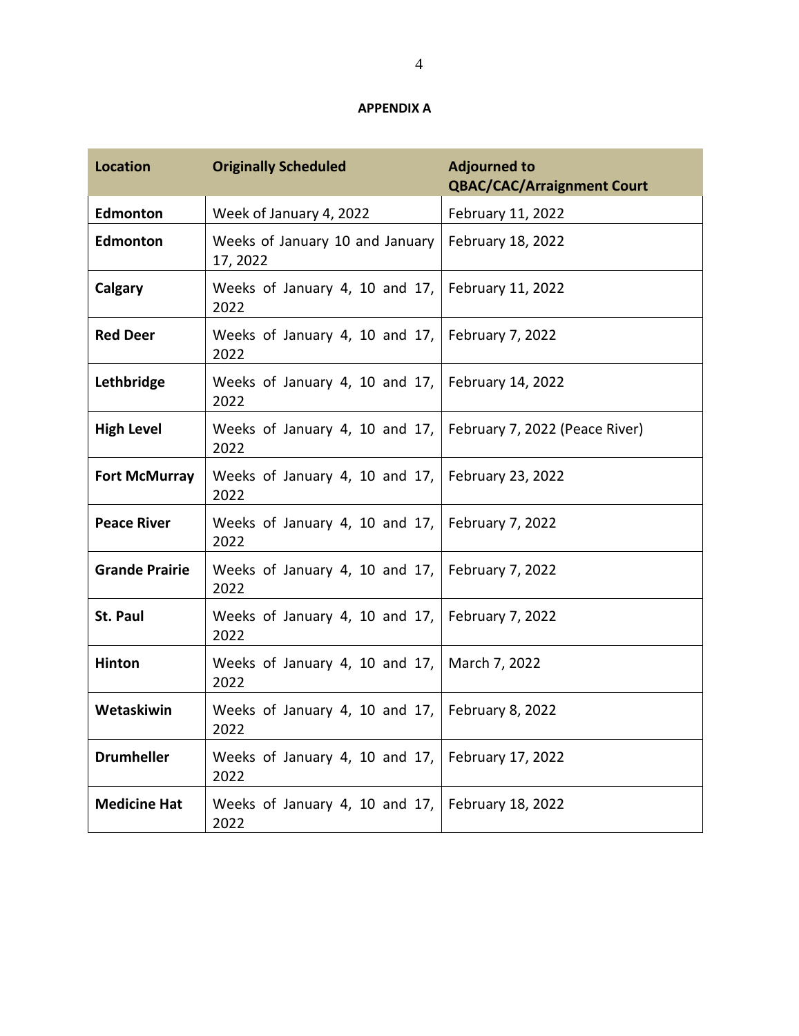## **APPENDIX A**

| <b>Location</b>       | <b>Originally Scheduled</b>                 | <b>Adjourned to</b><br><b>QBAC/CAC/Arraignment Court</b> |
|-----------------------|---------------------------------------------|----------------------------------------------------------|
| Edmonton              | Week of January 4, 2022                     | February 11, 2022                                        |
| <b>Edmonton</b>       | Weeks of January 10 and January<br>17, 2022 | February 18, 2022                                        |
| Calgary               | Weeks of January 4, 10 and 17,<br>2022      | February 11, 2022                                        |
| <b>Red Deer</b>       | Weeks of January 4, 10 and 17,<br>2022      | February 7, 2022                                         |
| Lethbridge            | Weeks of January 4, 10 and 17,<br>2022      | February 14, 2022                                        |
| <b>High Level</b>     | Weeks of January 4, 10 and 17,<br>2022      | February 7, 2022 (Peace River)                           |
| <b>Fort McMurray</b>  | Weeks of January 4, 10 and 17,<br>2022      | February 23, 2022                                        |
| <b>Peace River</b>    | Weeks of January 4, 10 and 17,<br>2022      | February 7, 2022                                         |
| <b>Grande Prairie</b> | Weeks of January 4, 10 and 17,<br>2022      | February 7, 2022                                         |
| <b>St. Paul</b>       | Weeks of January 4, 10 and 17,<br>2022      | February 7, 2022                                         |
| <b>Hinton</b>         | Weeks of January 4, 10 and 17,<br>2022      | March 7, 2022                                            |
| Wetaskiwin            | Weeks of January 4, 10 and 17,<br>2022      | February 8, 2022                                         |
| <b>Drumheller</b>     | Weeks of January 4, 10 and 17,<br>2022      | February 17, 2022                                        |
| <b>Medicine Hat</b>   | Weeks of January 4, 10 and 17,<br>2022      | February 18, 2022                                        |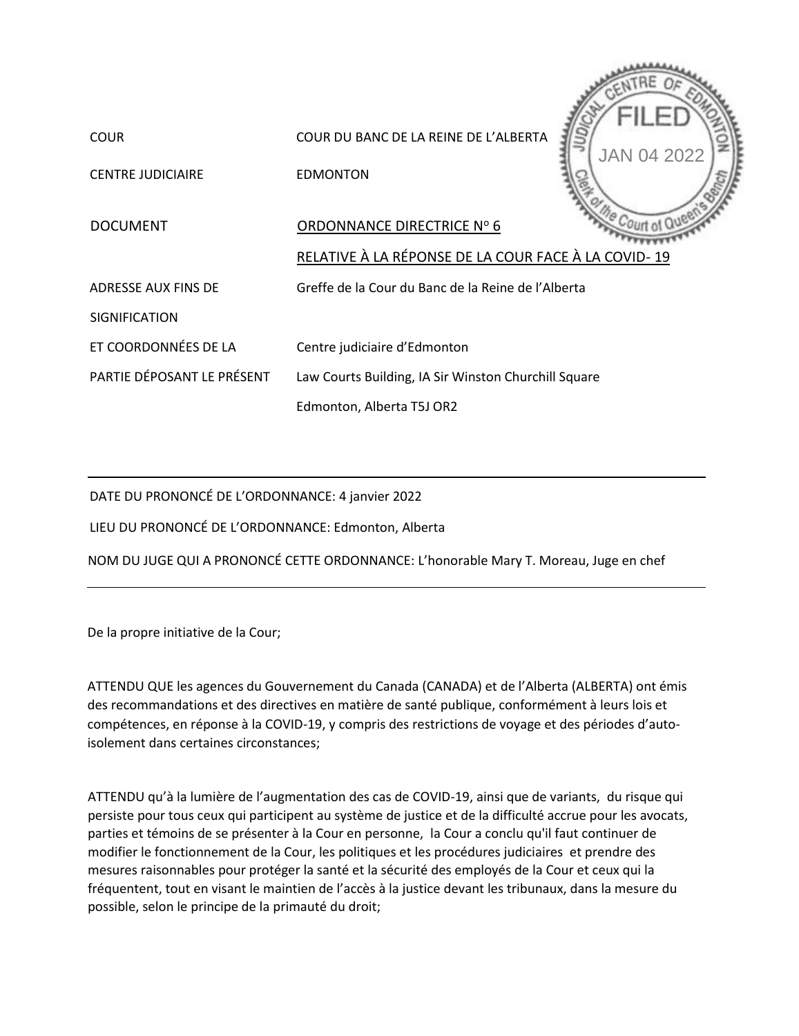

DATE DU PRONONCÉ DE L'ORDONNANCE: 4 janvier 2022

LIEU DU PRONONCÉ DE L'ORDONNANCE: Edmonton, Alberta

NOM DU JUGE QUI A PRONONCÉ CETTE ORDONNANCE: L'honorable Mary T. Moreau, Juge en chef

De la propre initiative de la Cour;

ATTENDU QUE les agences du Gouvernement du Canada (CANADA) et de l'Alberta (ALBERTA) ont émis des recommandations et des directives en matière de santé publique, conformément à leurs lois et compétences, en réponse à la COVID-19, y compris des restrictions de voyage et des périodes d'autoisolement dans certaines circonstances;

ATTENDU qu'à la lumière de l'augmentation des cas de COVID-19, ainsi que de variants, du risque qui persiste pour tous ceux qui participent au système de justice et de la difficulté accrue pour les avocats, parties et témoins de se présenter à la Cour en personne, la Cour a conclu qu'il faut continuer de modifier le fonctionnement de la Cour, les politiques et les procédures judiciaires et prendre des mesures raisonnables pour protéger la santé et la sécurité des employés de la Cour et ceux qui la fréquentent, tout en visant le maintien de l'accès à la justice devant les tribunaux, dans la mesure du possible, selon le principe de la primauté du droit;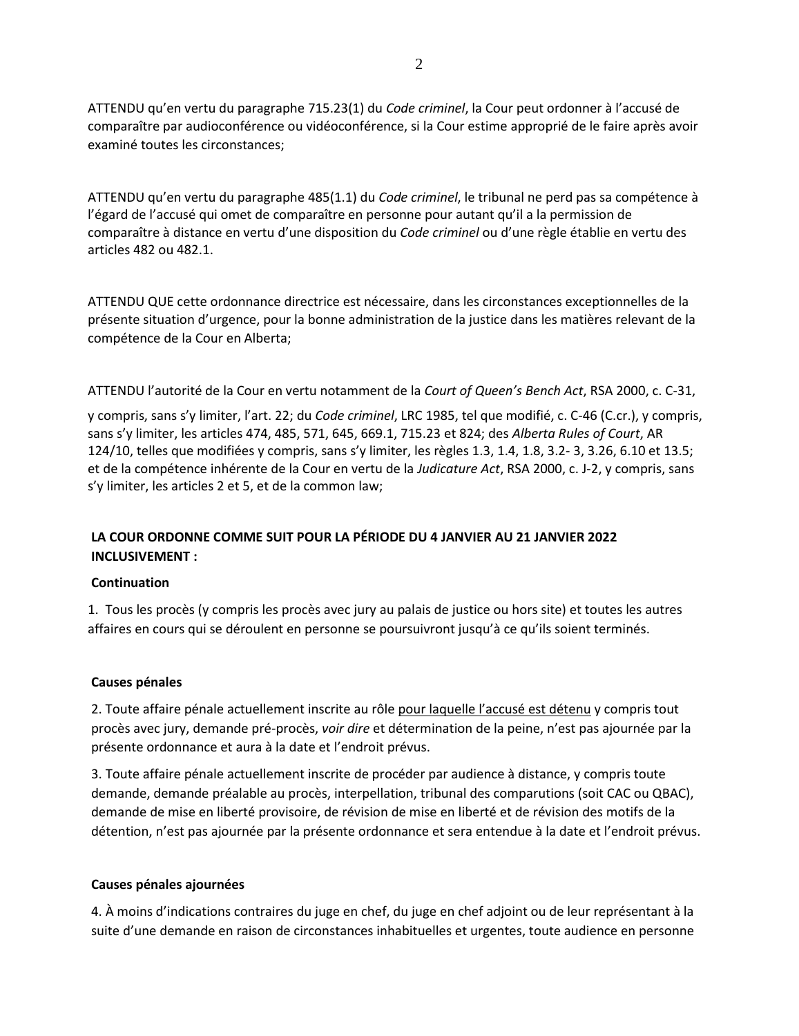ATTENDU qu'en vertu du paragraphe 715.23(1) du *Code criminel*, la Cour peut ordonner à l'accusé de comparaître par audioconférence ou vidéoconférence, si la Cour estime approprié de le faire après avoir examiné toutes les circonstances;

ATTENDU qu'en vertu du paragraphe 485(1.1) du *Code criminel*, le tribunal ne perd pas sa compétence à l'égard de l'accusé qui omet de comparaître en personne pour autant qu'il a la permission de comparaître à distance en vertu d'une disposition du *Code criminel* ou d'une règle établie en vertu des articles 482 ou 482.1.

ATTENDU QUE cette ordonnance directrice est nécessaire, dans les circonstances exceptionnelles de la présente situation d'urgence, pour la bonne administration de la justice dans les matières relevant de la compétence de la Cour en Alberta;

ATTENDU l'autorité de la Cour en vertu notamment de la *Court of Queen's Bench Act*, RSA 2000, c. C-31,

y compris, sans s'y limiter, l'art. 22; du *Code criminel*, LRC 1985, tel que modifié, c. C-46 (C.cr.), y compris, sans s'y limiter, les articles 474, 485, 571, 645, 669.1, 715.23 et 824; des *Alberta Rules of Court*, AR 124/10, telles que modifiées y compris, sans s'y limiter, les règles 1.3, 1.4, 1.8, 3.2- 3, 3.26, 6.10 et 13.5; et de la compétence inhérente de la Cour en vertu de la *Judicature Act*, RSA 2000, c. J-2, y compris, sans s'y limiter, les articles 2 et 5, et de la common law;

# **LA COUR ORDONNE COMME SUIT POUR LA PÉRIODE DU 4 JANVIER AU 21 JANVIER 2022 INCLUSIVEMENT :**

### **Continuation**

1. Tous les procès (y compris les procès avec jury au palais de justice ou hors site) et toutes les autres affaires en cours qui se déroulent en personne se poursuivront jusqu'à ce qu'ils soient terminés.

### **Causes pénales**

2. Toute affaire pénale actuellement inscrite au rôle pour laquelle l'accusé est détenu y compris tout procès avec jury, demande pré-procès, *voir dire* et détermination de la peine, n'est pas ajournée par la présente ordonnance et aura à la date et l'endroit prévus.

3. Toute affaire pénale actuellement inscrite de procéder par audience à distance, y compris toute demande, demande préalable au procès, interpellation, tribunal des comparutions (soit CAC ou QBAC), demande de mise en liberté provisoire, de révision de mise en liberté et de révision des motifs de la détention, n'est pas ajournée par la présente ordonnance et sera entendue à la date et l'endroit prévus.

### **Causes pénales ajournées**

4. À moins d'indications contraires du juge en chef, du juge en chef adjoint ou de leur représentant à la suite d'une demande en raison de circonstances inhabituelles et urgentes, toute audience en personne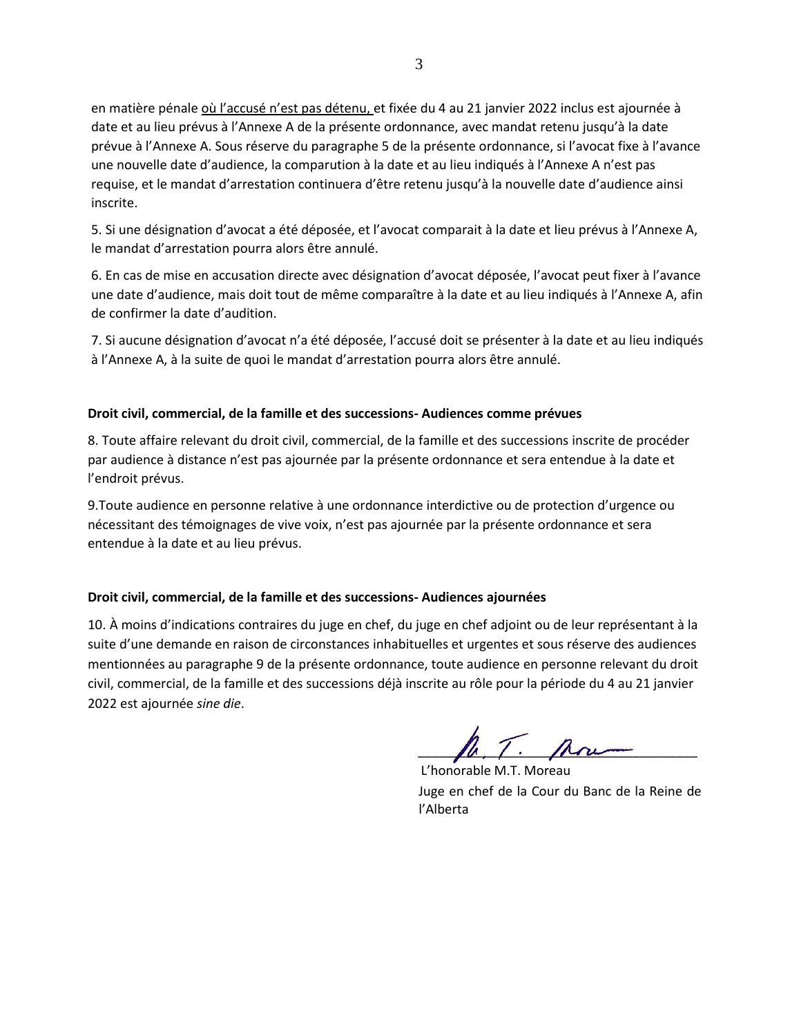en matière pénale où l'accusé n'est pas détenu, et fixée du 4 au 21 janvier 2022 inclus est ajournée à date et au lieu prévus à l'Annexe A de la présente ordonnance, avec mandat retenu jusqu'à la date prévue à l'Annexe A. Sous réserve du paragraphe 5 de la présente ordonnance, si l'avocat fixe à l'avance une nouvelle date d'audience, la comparution à la date et au lieu indiqués à l'Annexe A n'est pas requise, et le mandat d'arrestation continuera d'être retenu jusqu'à la nouvelle date d'audience ainsi inscrite.

5. Si une désignation d'avocat a été déposée, et l'avocat comparait à la date et lieu prévus à l'Annexe A, le mandat d'arrestation pourra alors être annulé.

6. En cas de mise en accusation directe avec désignation d'avocat déposée, l'avocat peut fixer à l'avance une date d'audience, mais doit tout de même comparaître à la date et au lieu indiqués à l'Annexe A, afin de confirmer la date d'audition.

7. Si aucune désignation d'avocat n'a été déposée, l'accusé doit se présenter à la date et au lieu indiqués à l'Annexe A, à la suite de quoi le mandat d'arrestation pourra alors être annulé.

### **Droit civil, commercial, de la famille et des successions- Audiences comme prévues**

8. Toute affaire relevant du droit civil, commercial, de la famille et des successions inscrite de procéder par audience à distance n'est pas ajournée par la présente ordonnance et sera entendue à la date et l'endroit prévus.

9.Toute audience en personne relative à une ordonnance interdictive ou de protection d'urgence ou nécessitant des témoignages de vive voix, n'est pas ajournée par la présente ordonnance et sera entendue à la date et au lieu prévus.

### **Droit civil, commercial, de la famille et des successions- Audiences ajournées**

10. À moins d'indications contraires du juge en chef, du juge en chef adjoint ou de leur représentant à la suite d'une demande en raison de circonstances inhabituelles et urgentes et sous réserve des audiences mentionnées au paragraphe 9 de la présente ordonnance, toute audience en personne relevant du droit civil, commercial, de la famille et des successions déjà inscrite au rôle pour la période du 4 au 21 janvier 2022 est ajournée *sine die*.

 $\mu, \mu, \mu, \mu, \mu$ 

L'honorable M.T. Moreau Juge en chef de la Cour du Banc de la Reine de l'Alberta